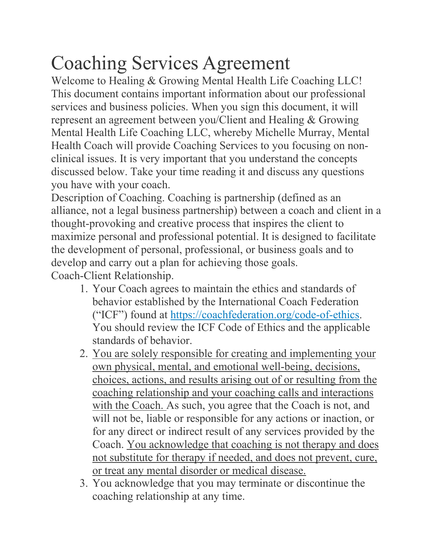## Coaching Services Agreement

Welcome to Healing & Growing Mental Health Life Coaching LLC! This document contains important information about our professional services and business policies. When you sign this document, it will represent an agreement between you/Client and Healing & Growing Mental Health Life Coaching LLC, whereby Michelle Murray, Mental Health Coach will provide Coaching Services to you focusing on nonclinical issues. It is very important that you understand the concepts discussed below. Take your time reading it and discuss any questions you have with your coach.

Description of Coaching. Coaching is partnership (defined as an alliance, not a legal business partnership) between a coach and client in a thought-provoking and creative process that inspires the client to maximize personal and professional potential. It is designed to facilitate the development of personal, professional, or business goals and to develop and carry out a plan for achieving those goals. Coach-Client Relationship.

- 1. Your Coach agrees to maintain the ethics and standards of behavior established by the International Coach Federation ("ICF") found at https://coachfederation.org/code-of-ethics. You should review the ICF Code of Ethics and the applicable standards of behavior.
- 2. You are solely responsible for creating and implementing your own physical, mental, and emotional well-being, decisions, choices, actions, and results arising out of or resulting from the coaching relationship and your coaching calls and interactions with the Coach. As such, you agree that the Coach is not, and will not be, liable or responsible for any actions or inaction, or for any direct or indirect result of any services provided by the Coach. You acknowledge that coaching is not therapy and does not substitute for therapy if needed, and does not prevent, cure, or treat any mental disorder or medical disease.
- 3. You acknowledge that you may terminate or discontinue the coaching relationship at any time.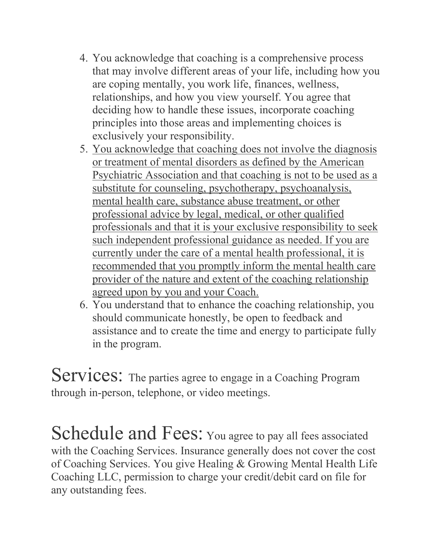- 4. You acknowledge that coaching is a comprehensive process that may involve different areas of your life, including how you are coping mentally, you work life, finances, wellness, relationships, and how you view yourself. You agree that deciding how to handle these issues, incorporate coaching principles into those areas and implementing choices is exclusively your responsibility.
- 5. You acknowledge that coaching does not involve the diagnosis or treatment of mental disorders as defined by the American Psychiatric Association and that coaching is not to be used as a substitute for counseling, psychotherapy, psychoanalysis, mental health care, substance abuse treatment, or other professional advice by legal, medical, or other qualified professionals and that it is your exclusive responsibility to seek such independent professional guidance as needed. If you are currently under the care of a mental health professional, it is recommended that you promptly inform the mental health care provider of the nature and extent of the coaching relationship agreed upon by you and your Coach.
- 6. You understand that to enhance the coaching relationship, you should communicate honestly, be open to feedback and assistance and to create the time and energy to participate fully in the program.

Services: The parties agree to engage in a Coaching Program through in-person, telephone, or video meetings.

Schedule and Fees: You agree to pay all fees associated with the Coaching Services. Insurance generally does not cover the cost of Coaching Services. You give Healing & Growing Mental Health Life Coaching LLC, permission to charge your credit/debit card on file for any outstanding fees.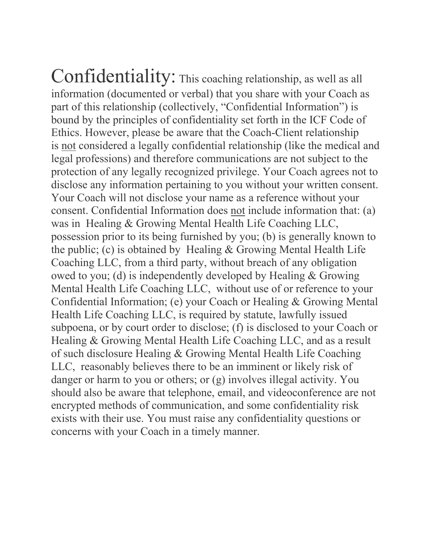Confidentiality: This coaching relationship, as well as all information (documented or verbal) that you share with your Coach as part of this relationship (collectively, "Confidential Information") is bound by the principles of confidentiality set forth in the ICF Code of Ethics. However, please be aware that the Coach-Client relationship is not considered a legally confidential relationship (like the medical and legal professions) and therefore communications are not subject to the protection of any legally recognized privilege. Your Coach agrees not to disclose any information pertaining to you without your written consent. Your Coach will not disclose your name as a reference without your consent. Confidential Information does not include information that: (a) was in Healing & Growing Mental Health Life Coaching LLC, possession prior to its being furnished by you; (b) is generally known to the public; (c) is obtained by Healing & Growing Mental Health Life Coaching LLC, from a third party, without breach of any obligation owed to you; (d) is independently developed by Healing & Growing Mental Health Life Coaching LLC, without use of or reference to your Confidential Information; (e) your Coach or Healing & Growing Mental Health Life Coaching LLC, is required by statute, lawfully issued subpoena, or by court order to disclose; (f) is disclosed to your Coach or Healing & Growing Mental Health Life Coaching LLC, and as a result of such disclosure Healing & Growing Mental Health Life Coaching LLC, reasonably believes there to be an imminent or likely risk of danger or harm to you or others; or (g) involves illegal activity. You should also be aware that telephone, email, and videoconference are not encrypted methods of communication, and some confidentiality risk exists with their use. You must raise any confidentiality questions or concerns with your Coach in a timely manner.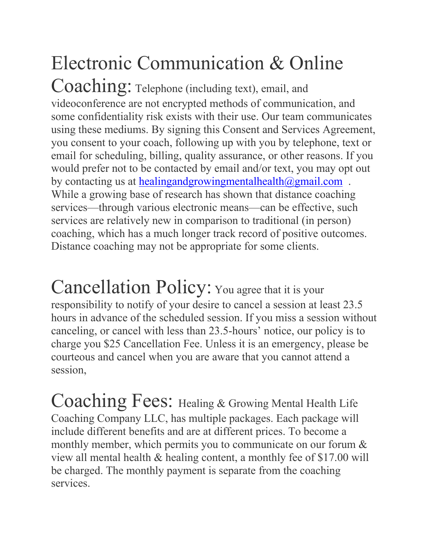## Electronic Communication & Online

Coaching: Telephone (including text), email, and videoconference are not encrypted methods of communication, and some confidentiality risk exists with their use. Our team communicates using these mediums. By signing this Consent and Services Agreement, you consent to your coach, following up with you by telephone, text or email for scheduling, billing, quality assurance, or other reasons. If you would prefer not to be contacted by email and/or text, you may opt out by contacting us at healingandgrowingmentalhealth $\omega$ gmail.com. While a growing base of research has shown that distance coaching services—through various electronic means—can be effective, such services are relatively new in comparison to traditional (in person) coaching, which has a much longer track record of positive outcomes. Distance coaching may not be appropriate for some clients.

Cancellation Policy: You agree that it is your responsibility to notify of your desire to cancel a session at least 23.5 hours in advance of the scheduled session. If you miss a session without canceling, or cancel with less than 23.5-hours' notice, our policy is to charge you \$25 Cancellation Fee. Unless it is an emergency, please be courteous and cancel when you are aware that you cannot attend a session,

Coaching Fees: Healing & Growing Mental Health Life Coaching Company LLC, has multiple packages. Each package will include different benefits and are at different prices. To become a monthly member, which permits you to communicate on our forum  $\&$ view all mental health & healing content, a monthly fee of \$17.00 will be charged. The monthly payment is separate from the coaching services.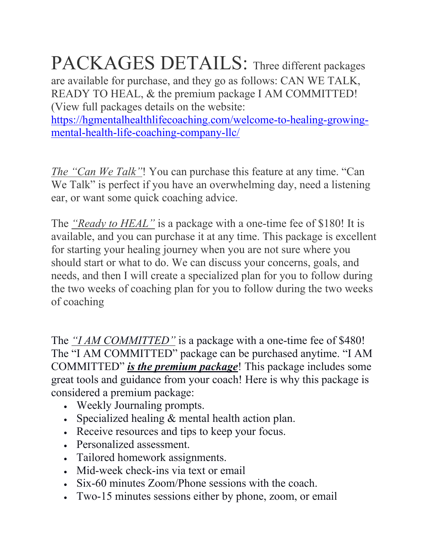## PACKAGES DETAILS: Three different packages

are available for purchase, and they go as follows: CAN WE TALK, READY TO HEAL, & the premium package I AM COMMITTED! (View full packages details on the website:

https://hgmentalhealthlifecoaching.com/welcome-to-healing-growingmental-health-life-coaching-company-llc/

*The "Can We Talk"*! You can purchase this feature at any time. "Can We Talk" is perfect if you have an overwhelming day, need a listening ear, or want some quick coaching advice.

The *"Ready to HEAL"* is a package with a one-time fee of \$180! It is available, and you can purchase it at any time. This package is excellent for starting your healing journey when you are not sure where you should start or what to do. We can discuss your concerns, goals, and needs, and then I will create a specialized plan for you to follow during the two weeks of coaching plan for you to follow during the two weeks of coaching

The *"I AM COMMITTED*" is a package with a one-time fee of \$480! The "I AM COMMITTED" package can be purchased anytime. "I AM COMMITTED" *is the premium package*! This package includes some great tools and guidance from your coach! Here is why this package is considered a premium package:

- Weekly Journaling prompts.
- Specialized healing & mental health action plan.
- Receive resources and tips to keep your focus.
- Personalized assessment.
- Tailored homework assignments.
- Mid-week check-ins via text or email
- Six-60 minutes Zoom/Phone sessions with the coach.
- Two-15 minutes sessions either by phone, zoom, or email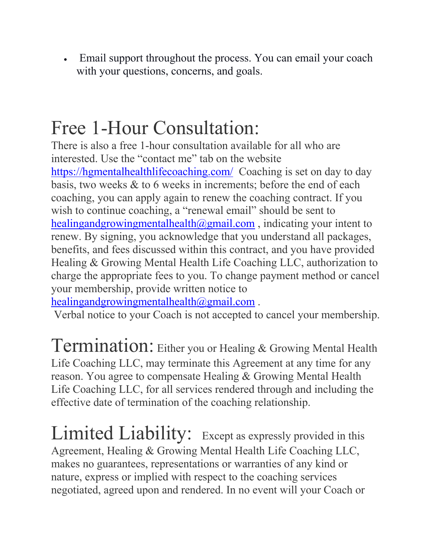• Email support throughout the process. You can email your coach with your questions, concerns, and goals.

## Free 1-Hour Consultation:

There is also a free 1-hour consultation available for all who are interested. Use the "contact me" tab on the website https://hgmentalhealthlifecoaching.com/ Coaching is set on day to day basis, two weeks & to 6 weeks in increments; before the end of each coaching, you can apply again to renew the coaching contract. If you wish to continue coaching, a "renewal email" should be sent to healingandgrowingmentalhealth $(\partial g$ mail.com, indicating your intent to renew. By signing, you acknowledge that you understand all packages, benefits, and fees discussed within this contract, and you have provided Healing & Growing Mental Health Life Coaching LLC, authorization to charge the appropriate fees to you. To change payment method or cancel your membership, provide written notice to

healingandgrowingmentalhealth@gmail.com.

Verbal notice to your Coach is not accepted to cancel your membership.

Termination: Either you or Healing & Growing Mental Health Life Coaching LLC, may terminate this Agreement at any time for any reason. You agree to compensate Healing & Growing Mental Health Life Coaching LLC, for all services rendered through and including the effective date of termination of the coaching relationship.

Limited Liability: Except as expressly provided in this Agreement, Healing & Growing Mental Health Life Coaching LLC, makes no guarantees, representations or warranties of any kind or nature, express or implied with respect to the coaching services negotiated, agreed upon and rendered. In no event will your Coach or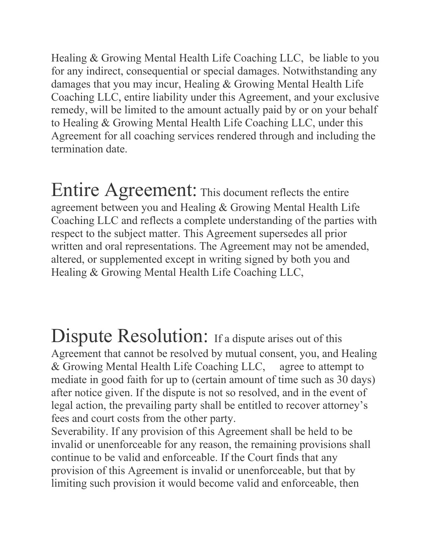Healing & Growing Mental Health Life Coaching LLC, be liable to you for any indirect, consequential or special damages. Notwithstanding any damages that you may incur, Healing & Growing Mental Health Life Coaching LLC, entire liability under this Agreement, and your exclusive remedy, will be limited to the amount actually paid by or on your behalf to Healing & Growing Mental Health Life Coaching LLC, under this Agreement for all coaching services rendered through and including the termination date.

Entire Agreement: This document reflects the entire agreement between you and Healing & Growing Mental Health Life Coaching LLC and reflects a complete understanding of the parties with respect to the subject matter. This Agreement supersedes all prior written and oral representations. The Agreement may not be amended, altered, or supplemented except in writing signed by both you and Healing & Growing Mental Health Life Coaching LLC,

Dispute Resolution: If a dispute arises out of this Agreement that cannot be resolved by mutual consent, you, and Healing & Growing Mental Health Life Coaching LLC, agree to attempt to mediate in good faith for up to (certain amount of time such as 30 days) after notice given. If the dispute is not so resolved, and in the event of legal action, the prevailing party shall be entitled to recover attorney's fees and court costs from the other party.

Severability. If any provision of this Agreement shall be held to be invalid or unenforceable for any reason, the remaining provisions shall continue to be valid and enforceable. If the Court finds that any provision of this Agreement is invalid or unenforceable, but that by limiting such provision it would become valid and enforceable, then